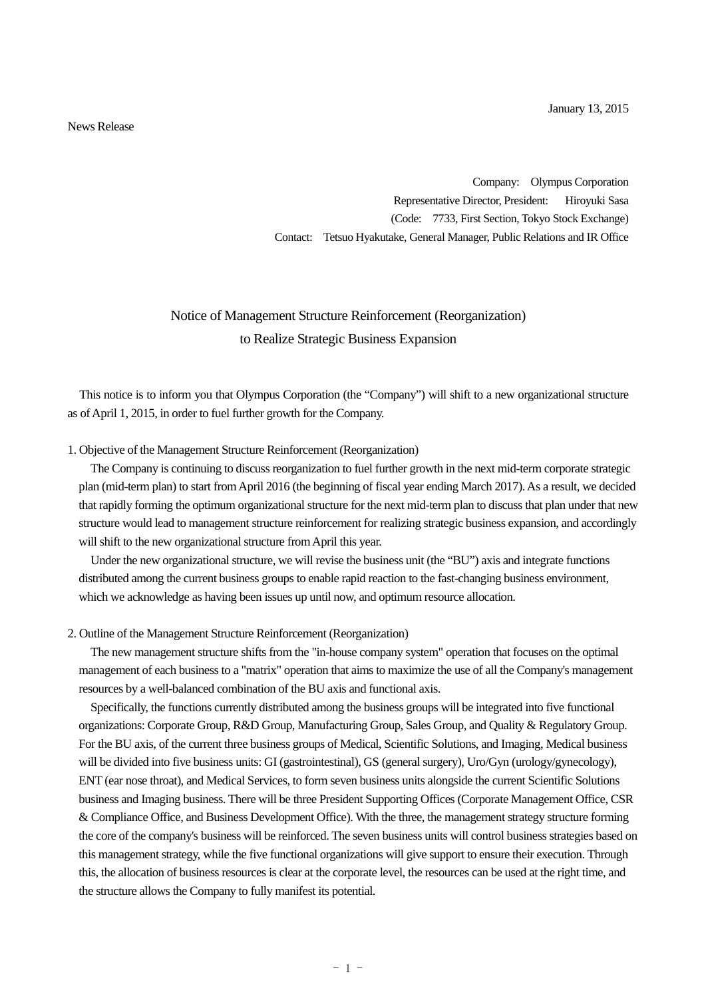News Release

Company: Olympus Corporation Representative Director, President: Hiroyuki Sasa (Code: 7733, First Section, Tokyo Stock Exchange) Contact: Tetsuo Hyakutake, General Manager, Public Relations and IR Office

# Notice of Management Structure Reinforcement (Reorganization) to Realize Strategic Business Expansion

This notice is to inform you that Olympus Corporation (the "Company") will shift to a new organizational structure as of April 1, 2015, in order to fuel further growth for the Company.

#### 1. Objective of the Management Structure Reinforcement (Reorganization)

The Company is continuing to discuss reorganization to fuel further growth in the next mid-term corporate strategic plan (mid-term plan) to start from April 2016 (the beginning of fiscal year ending March 2017). As a result, we decided that rapidly forming the optimum organizational structure for the next mid-term plan to discuss that plan under that new structure would lead to management structure reinforcement for realizing strategic business expansion, and accordingly will shift to the new organizational structure from April this year.

Under the new organizational structure, we will revise the business unit (the "BU") axis and integrate functions distributed among the current business groups to enable rapid reaction to the fast-changing business environment, which we acknowledge as having been issues up until now, and optimum resource allocation.

#### 2. Outline of the Management Structure Reinforcement (Reorganization)

The new management structure shifts from the "in-house company system" operation that focuses on the optimal management of each business to a "matrix" operation that aims to maximize the use of all the Company's management resources by a well-balanced combination of the BU axis and functional axis.

Specifically, the functions currently distributed among the business groups will be integrated into five functional organizations: Corporate Group, R&D Group, Manufacturing Group, Sales Group, and Quality & Regulatory Group. For the BU axis, of the current three business groups of Medical, Scientific Solutions, and Imaging, Medical business will be divided into five business units: GI (gastrointestinal), GS (general surgery), Uro/Gyn (urology/gynecology), ENT (ear nose throat), and Medical Services, to form seven business units alongside the current Scientific Solutions business and Imaging business. There will be three President Supporting Offices (Corporate Management Office, CSR & Compliance Office, and Business Development Office). With the three, the management strategy structure forming the core of the company's business will be reinforced. The seven business units will control business strategies based on this management strategy, while the five functional organizations will give support to ensure their execution. Through this, the allocation of business resources is clear at the corporate level, the resources can be used at the right time, and the structure allows the Company to fully manifest its potential.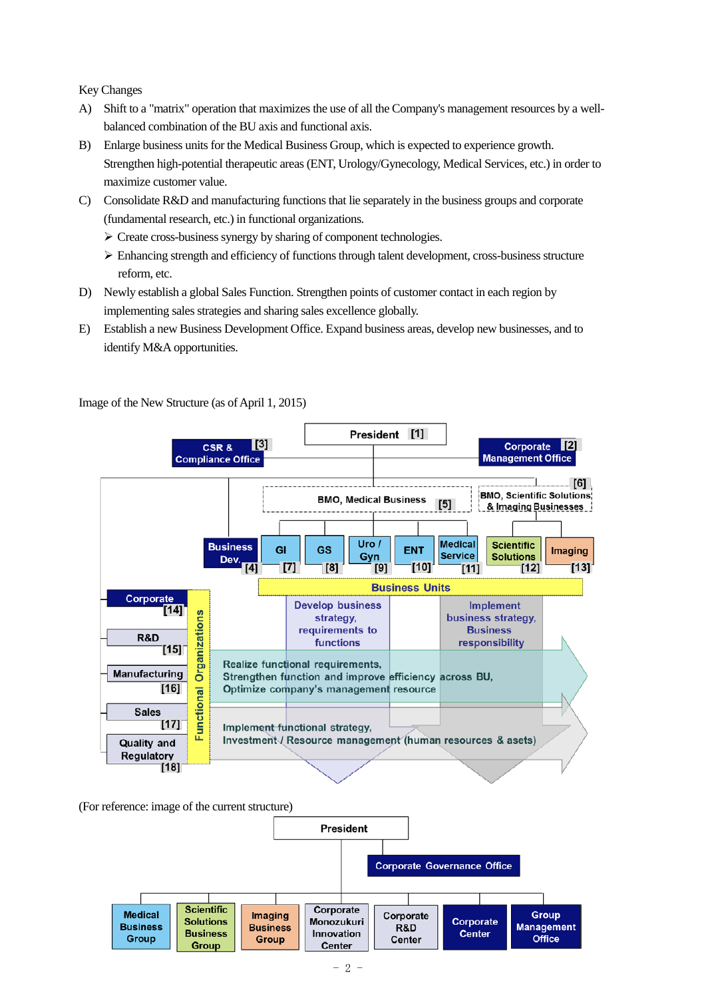Key Changes

- A) Shift to a "matrix" operation that maximizes the use of all the Company's management resources by a wellbalanced combination of the BU axis and functional axis.
- B) Enlarge business units for the Medical Business Group, which is expected to experience growth. Strengthen high-potential therapeutic areas (ENT, Urology/Gynecology, Medical Services, etc.) in order to maximize customer value.
- C) Consolidate R&D and manufacturing functions that lie separately in the business groups and corporate (fundamental research, etc.) in functional organizations.
	- $\triangleright$  Create cross-business synergy by sharing of component technologies.
	- $\triangleright$  Enhancing strength and efficiency of functions through talent development, cross-business structure reform, etc.
- D) Newly establish a global Sales Function. Strengthen points of customer contact in each region by implementing sales strategies and sharing sales excellence globally.
- E) Establish a new Business Development Office. Expand business areas, develop new businesses, and to identify M&A opportunities.



Image of the New Structure (as of April 1, 2015)